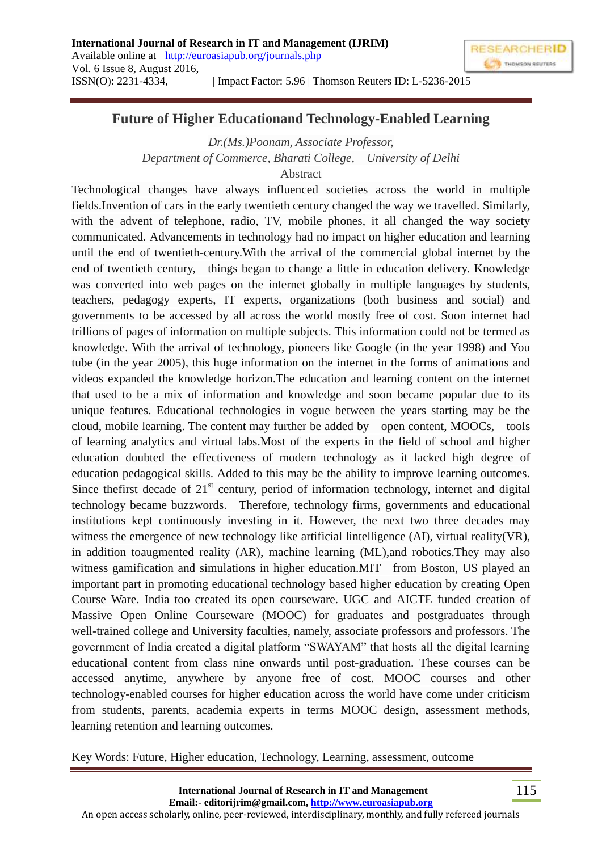

## **Future of Higher Educationand Technology-Enabled Learning**

*Dr.(Ms.)Poonam, Associate Professor, Department of Commerce, Bharati College, University of Delhi*

Abstract

Technological changes have always influenced societies across the world in multiple fields.Invention of cars in the early twentieth century changed the way we travelled. Similarly, with the advent of telephone, radio, TV, mobile phones, it all changed the way society communicated. Advancements in technology had no impact on higher education and learning until the end of twentieth-century.With the arrival of the commercial global internet by the end of twentieth century, things began to change a little in education delivery. Knowledge was converted into web pages on the internet globally in multiple languages by students, teachers, pedagogy experts, IT experts, organizations (both business and social) and governments to be accessed by all across the world mostly free of cost. Soon internet had trillions of pages of information on multiple subjects. This information could not be termed as knowledge. With the arrival of technology, pioneers like Google (in the year 1998) and You tube (in the year 2005), this huge information on the internet in the forms of animations and videos expanded the knowledge horizon.The education and learning content on the internet that used to be a mix of information and knowledge and soon became popular due to its unique features. Educational technologies in vogue between the years starting may be the cloud, mobile learning. The content may further be added by open content, MOOCs, tools of learning analytics and virtual labs.Most of the experts in the field of school and higher education doubted the effectiveness of modern technology as it lacked high degree of education pedagogical skills. Added to this may be the ability to improve learning outcomes. Since the first decade of  $21<sup>st</sup>$  century, period of information technology, internet and digital technology became buzzwords. Therefore, technology firms, governments and educational institutions kept continuously investing in it. However, the next two three decades may witness the emergence of new technology like artificial lintelligence (AI), virtual reality(VR), in addition toaugmented reality (AR), machine learning (ML),and robotics.They may also witness gamification and simulations in higher education.MIT from Boston, US played an important part in promoting educational technology based higher education by creating Open Course Ware. India too created its open courseware. UGC and AICTE funded creation of Massive Open Online Courseware (MOOC) for graduates and postgraduates through well-trained college and University faculties, namely, associate professors and professors. The government of India created a digital platform "SWAYAM" that hosts all the digital learning educational content from class nine onwards until post-graduation. These courses can be accessed anytime, anywhere by anyone free of cost. MOOC courses and other technology-enabled courses for higher education across the world have come under criticism from students, parents, academia experts in terms MOOC design, assessment methods, learning retention and learning outcomes.

Key Words: Future, Higher education, Technology, Learning, assessment, outcome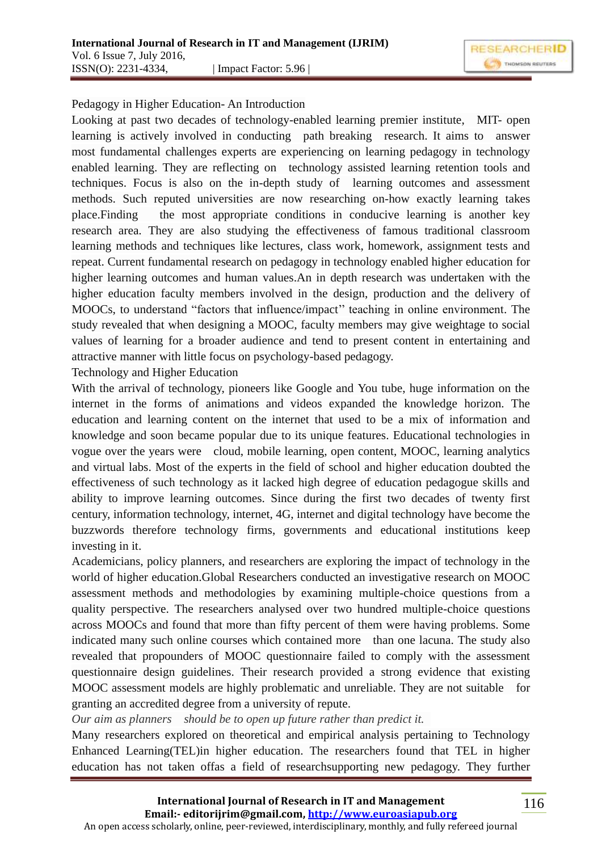## Pedagogy in Higher Education- An Introduction

Looking at past two decades of technology-enabled learning premier institute, MIT- open learning is actively involved in conducting path breaking research. It aims to answer most fundamental challenges experts are experiencing on learning pedagogy in technology enabled learning. They are reflecting on technology assisted learning retention tools and techniques. Focus is also on the in-depth study of learning outcomes and assessment methods. Such reputed universities are now researching on-how exactly learning takes place.Finding the most appropriate conditions in conducive learning is another key research area. They are also studying the effectiveness of famous traditional classroom learning methods and techniques like lectures, class work, homework, assignment tests and repeat. Current fundamental research on pedagogy in technology enabled higher education for higher learning outcomes and human values.An in depth research was undertaken with the higher education faculty members involved in the design, production and the delivery of MOOCs, to understand "factors that influence/impact'' teaching in online environment. The study revealed that when designing a MOOC, faculty members may give weightage to social values of learning for a broader audience and tend to present content in entertaining and attractive manner with little focus on psychology-based pedagogy.

Technology and Higher Education

With the arrival of technology, pioneers like Google and You tube, huge information on the internet in the forms of animations and videos expanded the knowledge horizon. The education and learning content on the internet that used to be a mix of information and knowledge and soon became popular due to its unique features. Educational technologies in vogue over the years were cloud, mobile learning, open content, MOOC, learning analytics and virtual labs. Most of the experts in the field of school and higher education doubted the effectiveness of such technology as it lacked high degree of education pedagogue skills and ability to improve learning outcomes. Since during the first two decades of twenty first century, information technology, internet, 4G, internet and digital technology have become the buzzwords therefore technology firms, governments and educational institutions keep investing in it.

Academicians, policy planners, and researchers are exploring the impact of technology in the world of higher education.Global Researchers conducted an investigative research on MOOC assessment methods and methodologies by examining multiple-choice questions from a quality perspective. The researchers analysed over two hundred multiple-choice questions across MOOCs and found that more than fifty percent of them were having problems. Some indicated many such online courses which contained more than one lacuna. The study also revealed that propounders of MOOC questionnaire failed to comply with the assessment questionnaire design guidelines. Their research provided a strong evidence that existing MOOC assessment models are highly problematic and unreliable. They are not suitable for granting an accredited degree from a university of repute.

*Our aim as planners should be to open up future rather than predict it.* 

Many researchers explored on theoretical and empirical analysis pertaining to Technology Enhanced Learning(TEL)in higher education. The researchers found that TEL in higher education has not taken offas a field of researchsupporting new pedagogy. They further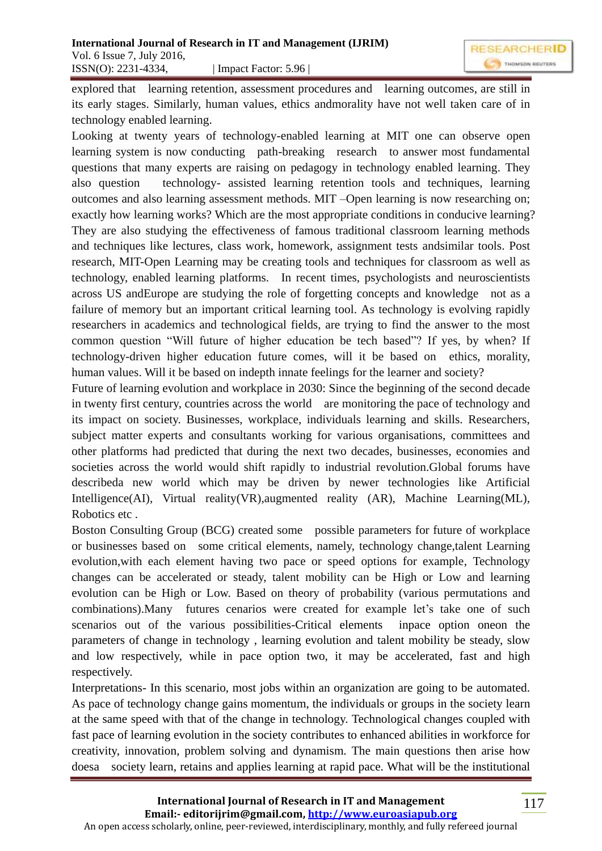explored that learning retention, assessment procedures and learning outcomes, are still in its early stages. Similarly, human values, ethics andmorality have not well taken care of in technology enabled learning.

Looking at twenty years of technology-enabled learning at MIT one can observe open learning system is now conducting path-breaking research to answer most fundamental questions that many experts are raising on pedagogy in technology enabled learning. They also question technology- assisted learning retention tools and techniques, learning outcomes and also learning assessment methods. MIT –Open learning is now researching on; exactly how learning works? Which are the most appropriate conditions in conducive learning? They are also studying the effectiveness of famous traditional classroom learning methods and techniques like lectures, class work, homework, assignment tests andsimilar tools. Post research, MIT-Open Learning may be creating tools and techniques for classroom as well as technology, enabled learning platforms. In recent times, psychologists and neuroscientists across US andEurope are studying the role of forgetting concepts and knowledge not as a failure of memory but an important critical learning tool. As technology is evolving rapidly researchers in academics and technological fields, are trying to find the answer to the most common question "Will future of higher education be tech based"? If yes, by when? If technology-driven higher education future comes, will it be based on ethics, morality, human values. Will it be based on indepth innate feelings for the learner and society?

Future of learning evolution and workplace in 2030: Since the beginning of the second decade in twenty first century, countries across the world are monitoring the pace of technology and its impact on society. Businesses, workplace, individuals learning and skills. Researchers, subject matter experts and consultants working for various organisations, committees and other platforms had predicted that during the next two decades, businesses, economies and societies across the world would shift rapidly to industrial revolution.Global forums have describeda new world which may be driven by newer technologies like Artificial Intelligence(AI), Virtual reality(VR),augmented reality (AR), Machine Learning(ML), Robotics etc .

Boston Consulting Group (BCG) created some possible parameters for future of workplace or businesses based on some critical elements, namely, technology change,talent Learning evolution,with each element having two pace or speed options for example, Technology changes can be accelerated or steady, talent mobility can be High or Low and learning evolution can be High or Low. Based on theory of probability (various permutations and combinations).Many futures cenarios were created for example let's take one of such scenarios out of the various possibilities-Critical elements inpace option oneon the parameters of change in technology , learning evolution and talent mobility be steady, slow and low respectively, while in pace option two, it may be accelerated, fast and high respectively.

Interpretations- In this scenario, most jobs within an organization are going to be automated. As pace of technology change gains momentum, the individuals or groups in the society learn at the same speed with that of the change in technology. Technological changes coupled with fast pace of learning evolution in the society contributes to enhanced abilities in workforce for creativity, innovation, problem solving and dynamism. The main questions then arise how doesa society learn, retains and applies learning at rapid pace. What will be the institutional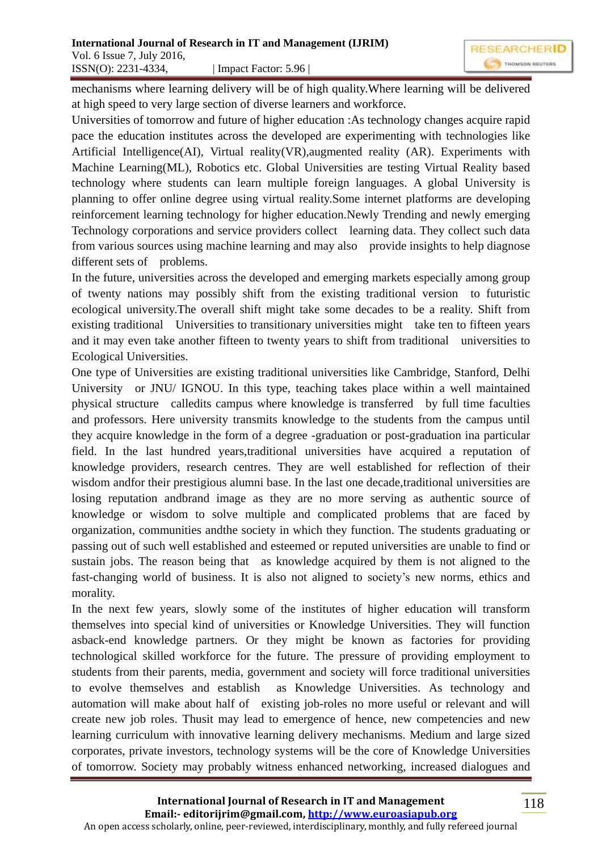mechanisms where learning delivery will be of high quality.Where learning will be delivered at high speed to very large section of diverse learners and workforce.

Universities of tomorrow and future of higher education :As technology changes acquire rapid pace the education institutes across the developed are experimenting with technologies like Artificial Intelligence(AI), Virtual reality(VR),augmented reality (AR). Experiments with Machine Learning(ML), Robotics etc. Global Universities are testing Virtual Reality based technology where students can learn multiple foreign languages. A global University is planning to offer online degree using virtual reality.Some internet platforms are developing reinforcement learning technology for higher education.Newly Trending and newly emerging Technology corporations and service providers collect learning data. They collect such data from various sources using machine learning and may also provide insights to help diagnose different sets of problems.

In the future, universities across the developed and emerging markets especially among group of twenty nations may possibly shift from the existing traditional version to futuristic ecological university.The overall shift might take some decades to be a reality. Shift from existing traditional Universities to transitionary universities might take ten to fifteen years and it may even take another fifteen to twenty years to shift from traditional universities to Ecological Universities.

One type of Universities are existing traditional universities like Cambridge, Stanford, Delhi University or JNU/ IGNOU. In this type, teaching takes place within a well maintained physical structure calledits campus where knowledge is transferred by full time faculties and professors. Here university transmits knowledge to the students from the campus until they acquire knowledge in the form of a degree -graduation or post-graduation ina particular field. In the last hundred years,traditional universities have acquired a reputation of knowledge providers, research centres. They are well established for reflection of their wisdom andfor their prestigious alumni base. In the last one decade, traditional universities are losing reputation andbrand image as they are no more serving as authentic source of knowledge or wisdom to solve multiple and complicated problems that are faced by organization, communities andthe society in which they function. The students graduating or passing out of such well established and esteemed or reputed universities are unable to find or sustain jobs. The reason being that as knowledge acquired by them is not aligned to the fast-changing world of business. It is also not aligned to society's new norms, ethics and morality.

In the next few years, slowly some of the institutes of higher education will transform themselves into special kind of universities or Knowledge Universities. They will function asback-end knowledge partners. Or they might be known as factories for providing technological skilled workforce for the future. The pressure of providing employment to students from their parents, media, government and society will force traditional universities to evolve themselves and establish as Knowledge Universities. As technology and automation will make about half of existing job-roles no more useful or relevant and will create new job roles. Thusit may lead to emergence of hence, new competencies and new learning curriculum with innovative learning delivery mechanisms. Medium and large sized corporates, private investors, technology systems will be the core of Knowledge Universities of tomorrow. Society may probably witness enhanced networking, increased dialogues and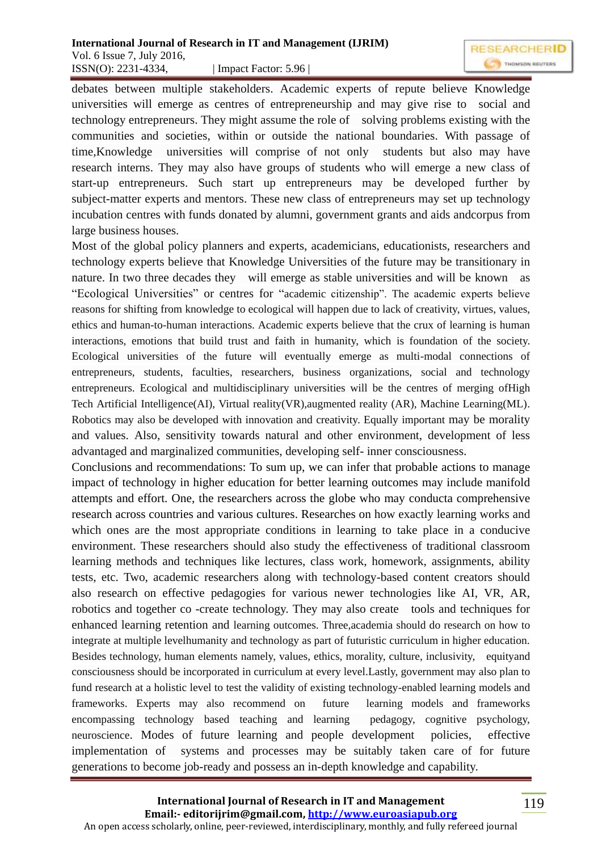debates between multiple stakeholders. Academic experts of repute believe Knowledge universities will emerge as centres of entrepreneurship and may give rise to social and technology entrepreneurs. They might assume the role of solving problems existing with the communities and societies, within or outside the national boundaries. With passage of time,Knowledge universities will comprise of not only students but also may have research interns. They may also have groups of students who will emerge a new class of start-up entrepreneurs. Such start up entrepreneurs may be developed further by subject-matter experts and mentors. These new class of entrepreneurs may set up technology incubation centres with funds donated by alumni, government grants and aids andcorpus from large business houses.

Most of the global policy planners and experts, academicians, educationists, researchers and technology experts believe that Knowledge Universities of the future may be transitionary in nature. In two three decades they will emerge as stable universities and will be known as "Ecological Universities" or centres for "academic citizenship". The academic experts believe reasons for shifting from knowledge to ecological will happen due to lack of creativity, virtues, values, ethics and human-to-human interactions. Academic experts believe that the crux of learning is human interactions, emotions that build trust and faith in humanity, which is foundation of the society. Ecological universities of the future will eventually emerge as multi-modal connections of entrepreneurs, students, faculties, researchers, business organizations, social and technology entrepreneurs. Ecological and multidisciplinary universities will be the centres of merging ofHigh Tech Artificial Intelligence(AI), Virtual reality(VR),augmented reality (AR), Machine Learning(ML). Robotics may also be developed with innovation and creativity. Equally important may be morality and values. Also, sensitivity towards natural and other environment, development of less advantaged and marginalized communities, developing self- inner consciousness.

Conclusions and recommendations: To sum up, we can infer that probable actions to manage impact of technology in higher education for better learning outcomes may include manifold attempts and effort. One, the researchers across the globe who may conducta comprehensive research across countries and various cultures. Researches on how exactly learning works and which ones are the most appropriate conditions in learning to take place in a conducive environment. These researchers should also study the effectiveness of traditional classroom learning methods and techniques like lectures, class work, homework, assignments, ability tests, etc. Two, academic researchers along with technology-based content creators should also research on effective pedagogies for various newer technologies like AI, VR, AR, robotics and together co -create technology. They may also create tools and techniques for enhanced learning retention and learning outcomes. Three,academia should do research on how to integrate at multiple levelhumanity and technology as part of futuristic curriculum in higher education. Besides technology, human elements namely, values, ethics, morality, culture, inclusivity, equityand consciousness should be incorporated in curriculum at every level.Lastly, government may also plan to fund research at a holistic level to test the validity of existing technology-enabled learning models and frameworks. Experts may also recommend on future learning models and frameworks encompassing technology based teaching and learning pedagogy, cognitive psychology, neuroscience. Modes of future learning and people development policies, effective implementation of systems and processes may be suitably taken care of for future generations to become job-ready and possess an in-depth knowledge and capability.